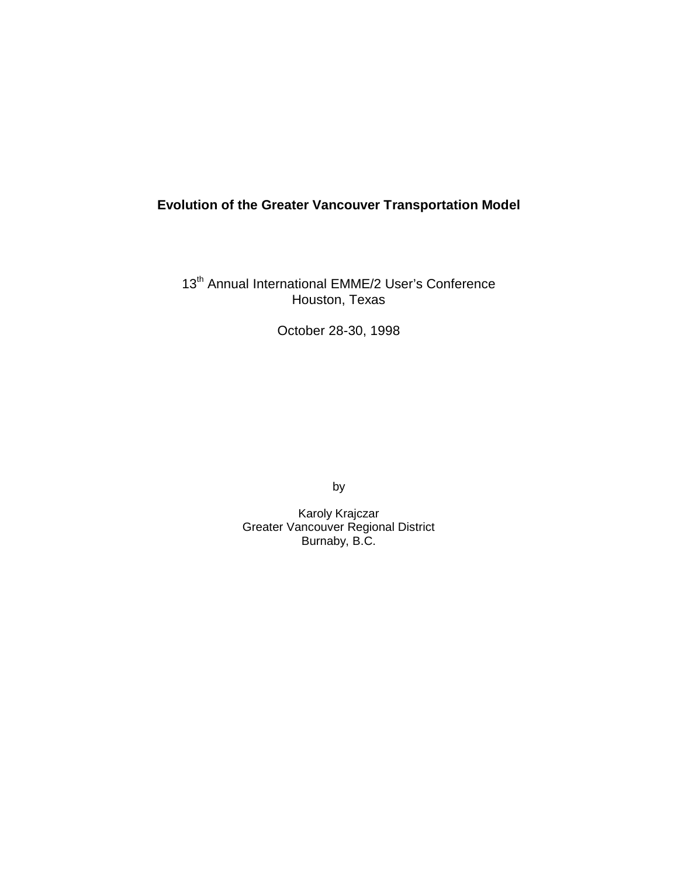# **Evolution of the Greater Vancouver Transportation Model**

13<sup>th</sup> Annual International EMME/2 User's Conference Houston, Texas

October 28-30, 1998

by

Karoly Krajczar Greater Vancouver Regional District Burnaby, B.C.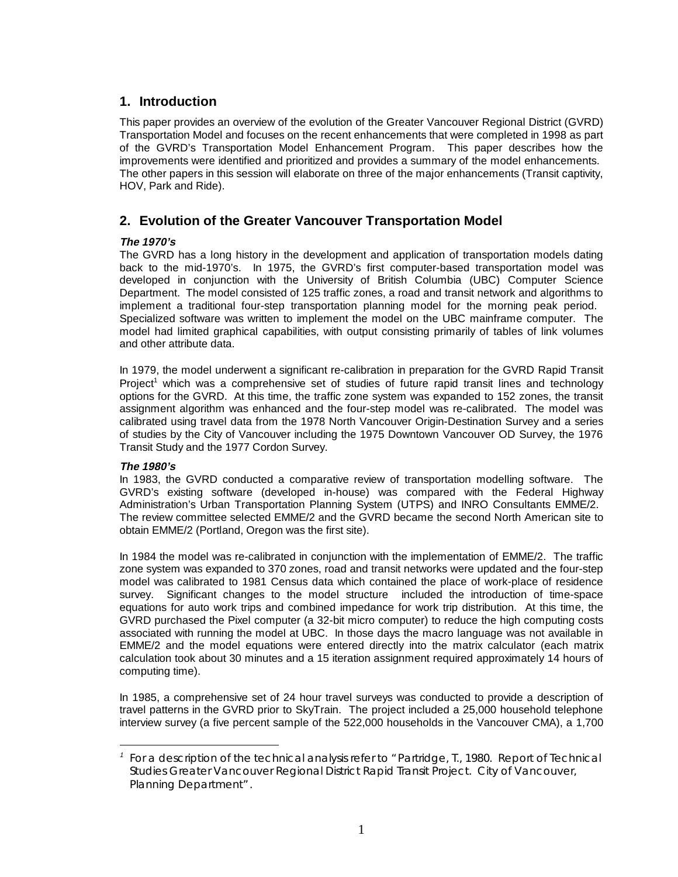### **1. Introduction**

This paper provides an overview of the evolution of the Greater Vancouver Regional District (GVRD) Transportation Model and focuses on the recent enhancements that were completed in 1998 as part of the GVRD's Transportation Model Enhancement Program. This paper describes how the improvements were identified and prioritized and provides a summary of the model enhancements. The other papers in this session will elaborate on three of the major enhancements (Transit captivity, HOV, Park and Ride).

### **2. Evolution of the Greater Vancouver Transportation Model**

#### **The 1970's**

The GVRD has a long history in the development and application of transportation models dating back to the mid-1970's. In 1975, the GVRD's first computer-based transportation model was developed in conjunction with the University of British Columbia (UBC) Computer Science Department. The model consisted of 125 traffic zones, a road and transit network and algorithms to implement a traditional four-step transportation planning model for the morning peak period. Specialized software was written to implement the model on the UBC mainframe computer. The model had limited graphical capabilities, with output consisting primarily of tables of link volumes and other attribute data.

In 1979, the model underwent a significant re-calibration in preparation for the GVRD Rapid Transit Project<sup>1</sup> which was a comprehensive set of studies of future rapid transit lines and technology options for the GVRD. At this time, the traffic zone system was expanded to 152 zones, the transit assignment algorithm was enhanced and the four-step model was re-calibrated. The model was calibrated using travel data from the 1978 North Vancouver Origin-Destination Survey and a series of studies by the City of Vancouver including the 1975 Downtown Vancouver OD Survey, the 1976 Transit Study and the 1977 Cordon Survey.

#### **The 1980's**

 $\overline{a}$ 

In 1983, the GVRD conducted a comparative review of transportation modelling software. The GVRD's existing software (developed in-house) was compared with the Federal Highway Administration's Urban Transportation Planning System (UTPS) and INRO Consultants EMME/2. The review committee selected EMME/2 and the GVRD became the second North American site to obtain EMME/2 (Portland, Oregon was the first site).

In 1984 the model was re-calibrated in conjunction with the implementation of EMME/2. The traffic zone system was expanded to 370 zones, road and transit networks were updated and the four-step model was calibrated to 1981 Census data which contained the place of work-place of residence survey. Significant changes to the model structure included the introduction of time-space equations for auto work trips and combined impedance for work trip distribution. At this time, the GVRD purchased the Pixel computer (a 32-bit micro computer) to reduce the high computing costs associated with running the model at UBC. In those days the macro language was not available in EMME/2 and the model equations were entered directly into the matrix calculator (each matrix calculation took about 30 minutes and a 15 iteration assignment required approximately 14 hours of computing time).

In 1985, a comprehensive set of 24 hour travel surveys was conducted to provide a description of travel patterns in the GVRD prior to SkyTrain. The project included a 25,000 household telephone interview survey (a five percent sample of the 522,000 households in the Vancouver CMA), a 1,700

<sup>1</sup> *For a description of the technical analysis refer to "Partridge, T., 1980. Report of Technical Studies Greater Vancouver Regional District Rapid Transit Project. City of Vancouver, Planning Department".*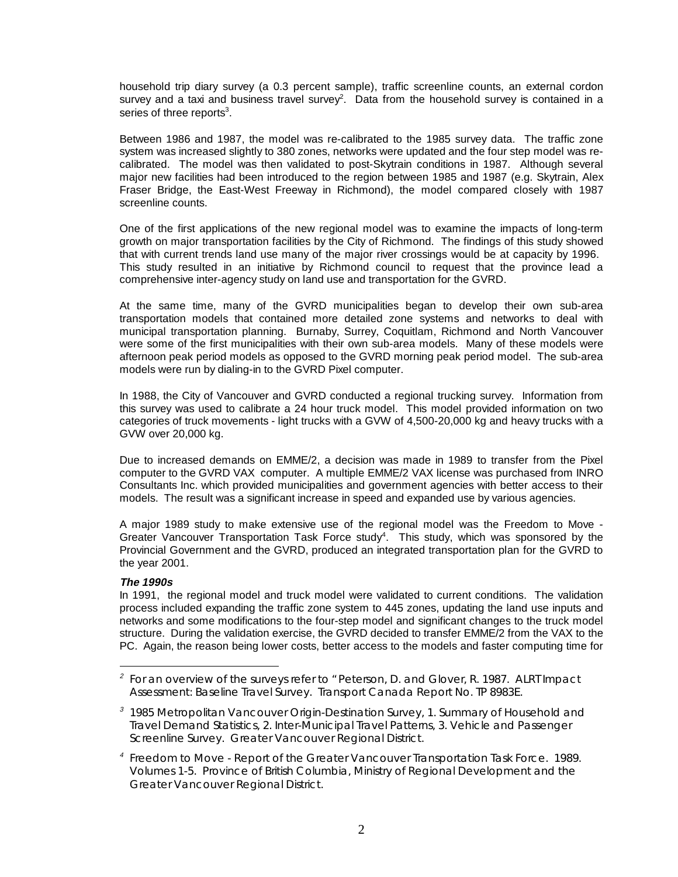household trip diary survey (a 0.3 percent sample), traffic screenline counts, an external cordon survey and a taxi and business travel survey<sup>2</sup>. Data from the household survey is contained in a series of three reports $3$ .

Between 1986 and 1987, the model was re-calibrated to the 1985 survey data. The traffic zone system was increased slightly to 380 zones, networks were updated and the four step model was recalibrated. The model was then validated to post-Skytrain conditions in 1987. Although several major new facilities had been introduced to the region between 1985 and 1987 (e.g. Skytrain, Alex Fraser Bridge, the East-West Freeway in Richmond), the model compared closely with 1987 screenline counts.

One of the first applications of the new regional model was to examine the impacts of long-term growth on major transportation facilities by the City of Richmond. The findings of this study showed that with current trends land use many of the major river crossings would be at capacity by 1996. This study resulted in an initiative by Richmond council to request that the province lead a comprehensive inter-agency study on land use and transportation for the GVRD.

At the same time, many of the GVRD municipalities began to develop their own sub-area transportation models that contained more detailed zone systems and networks to deal with municipal transportation planning. Burnaby, Surrey, Coquitlam, Richmond and North Vancouver were some of the first municipalities with their own sub-area models. Many of these models were afternoon peak period models as opposed to the GVRD morning peak period model. The sub-area models were run by dialing-in to the GVRD Pixel computer.

In 1988, the City of Vancouver and GVRD conducted a regional trucking survey. Information from this survey was used to calibrate a 24 hour truck model. This model provided information on two categories of truck movements - light trucks with a GVW of 4,500-20,000 kg and heavy trucks with a GVW over 20,000 kg.

Due to increased demands on EMME/2, a decision was made in 1989 to transfer from the Pixel computer to the GVRD VAX computer. A multiple EMME/2 VAX license was purchased from INRO Consultants Inc. which provided municipalities and government agencies with better access to their models. The result was a significant increase in speed and expanded use by various agencies.

A major 1989 study to make extensive use of the regional model was the Freedom to Move - Greater Vancouver Transportation Task Force study<sup>4</sup>. This study, which was sponsored by the Provincial Government and the GVRD, produced an integrated transportation plan for the GVRD to the year 2001.

#### **The 1990s**

 $\overline{a}$ 

In 1991, the regional model and truck model were validated to current conditions. The validation process included expanding the traffic zone system to 445 zones, updating the land use inputs and networks and some modifications to the four-step model and significant changes to the truck model structure. During the validation exercise, the GVRD decided to transfer EMME/2 from the VAX to the PC. Again, the reason being lower costs, better access to the models and faster computing time for

<sup>2</sup> *For an overview of the surveys refer to "Peterson, D. and Glover, R. 1987. ALRT Impact Assessment: Baseline Travel Survey. Transport Canada Report No. TP 8983E.*

<sup>3</sup> *1985 Metropolitan Vancouver Origin-Destination Survey, 1. Summary of Household and Travel Demand Statistics, 2. Inter-Municipal Travel Patterns, 3. Vehicle and Passenger Screenline Survey. Greater Vancouver Regional District.*

<sup>4</sup> *Freedom to Move - Report of the Greater Vancouver Transportation Task Force. 1989. Volumes 1-5. Province of British Columbia, Ministry of Regional Development and the Greater Vancouver Regional District.*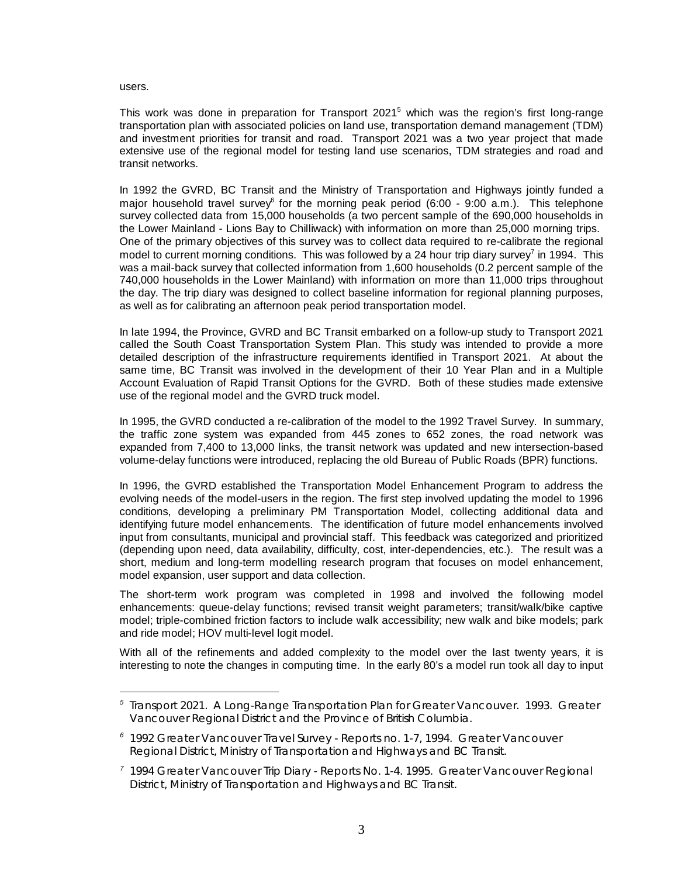users.

 $\overline{a}$ 

This work was done in preparation for Transport 2021<sup>5</sup> which was the region's first long-range transportation plan with associated policies on land use, transportation demand management (TDM) and investment priorities for transit and road. Transport 2021 was a two year project that made extensive use of the regional model for testing land use scenarios, TDM strategies and road and transit networks.

In 1992 the GVRD, BC Transit and the Ministry of Transportation and Highways jointly funded a major household travel survey<sup>6</sup> for the morning peak period (6:00 - 9:00 a.m.). This telephone survey collected data from 15,000 households (a two percent sample of the 690,000 households in the Lower Mainland - Lions Bay to Chilliwack) with information on more than 25,000 morning trips. One of the primary objectives of this survey was to collect data required to re-calibrate the regional model to current morning conditions. This was followed by a 24 hour trip diary survey<sup>7</sup> in 1994. This was a mail-back survey that collected information from 1,600 households (0.2 percent sample of the 740,000 households in the Lower Mainland) with information on more than 11,000 trips throughout the day. The trip diary was designed to collect baseline information for regional planning purposes, as well as for calibrating an afternoon peak period transportation model.

In late 1994, the Province, GVRD and BC Transit embarked on a follow-up study to Transport 2021 called the South Coast Transportation System Plan. This study was intended to provide a more detailed description of the infrastructure requirements identified in Transport 2021. At about the same time, BC Transit was involved in the development of their 10 Year Plan and in a Multiple Account Evaluation of Rapid Transit Options for the GVRD. Both of these studies made extensive use of the regional model and the GVRD truck model.

In 1995, the GVRD conducted a re-calibration of the model to the 1992 Travel Survey. In summary, the traffic zone system was expanded from 445 zones to 652 zones, the road network was expanded from 7,400 to 13,000 links, the transit network was updated and new intersection-based volume-delay functions were introduced, replacing the old Bureau of Public Roads (BPR) functions.

In 1996, the GVRD established the Transportation Model Enhancement Program to address the evolving needs of the model-users in the region. The first step involved updating the model to 1996 conditions, developing a preliminary PM Transportation Model, collecting additional data and identifying future model enhancements. The identification of future model enhancements involved input from consultants, municipal and provincial staff. This feedback was categorized and prioritized (depending upon need, data availability, difficulty, cost, inter-dependencies, etc.). The result was a short, medium and long-term modelling research program that focuses on model enhancement, model expansion, user support and data collection.

The short-term work program was completed in 1998 and involved the following model enhancements: queue-delay functions; revised transit weight parameters; transit/walk/bike captive model; triple-combined friction factors to include walk accessibility; new walk and bike models; park and ride model; HOV multi-level logit model.

With all of the refinements and added complexity to the model over the last twenty years, it is interesting to note the changes in computing time. In the early 80's a model run took all day to input

<sup>5</sup> *Transport 2021. A Long-Range Transportation Plan for Greater Vancouver. 1993. Greater Vancouver Regional District and the Province of British Columbia.*

<sup>6</sup> *1992 Greater Vancouver Travel Survey - Reports no. 1-7, 1994. Greater Vancouver Regional District, Ministry of Transportation and Highways and BC Transit.*

<sup>7</sup> *1994 Greater Vancouver Trip Diary - Reports No. 1-4. 1995. Greater Vancouver Regional District, Ministry of Transportation and Highways and BC Transit.*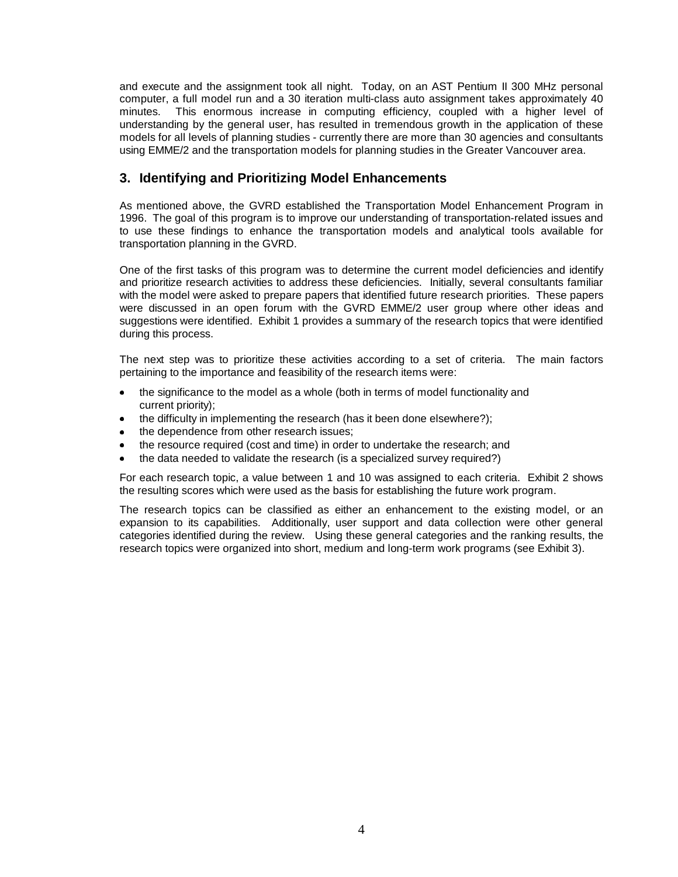and execute and the assignment took all night. Today, on an AST Pentium II 300 MHz personal computer, a full model run and a 30 iteration multi-class auto assignment takes approximately 40 minutes. This enormous increase in computing efficiency, coupled with a higher level of understanding by the general user, has resulted in tremendous growth in the application of these models for all levels of planning studies - currently there are more than 30 agencies and consultants using EMME/2 and the transportation models for planning studies in the Greater Vancouver area.

# **3. Identifying and Prioritizing Model Enhancements**

As mentioned above, the GVRD established the Transportation Model Enhancement Program in 1996. The goal of this program is to improve our understanding of transportation-related issues and to use these findings to enhance the transportation models and analytical tools available for transportation planning in the GVRD.

One of the first tasks of this program was to determine the current model deficiencies and identify and prioritize research activities to address these deficiencies. Initially, several consultants familiar with the model were asked to prepare papers that identified future research priorities. These papers were discussed in an open forum with the GVRD EMME/2 user group where other ideas and suggestions were identified. Exhibit 1 provides a summary of the research topics that were identified during this process.

The next step was to prioritize these activities according to a set of criteria. The main factors pertaining to the importance and feasibility of the research items were:

- · the significance to the model as a whole (both in terms of model functionality and current priority);
- · the difficulty in implementing the research (has it been done elsewhere?);
- the dependence from other research issues;
- · the resource required (cost and time) in order to undertake the research; and
- the data needed to validate the research (is a specialized survey required?)

For each research topic, a value between 1 and 10 was assigned to each criteria. Exhibit 2 shows the resulting scores which were used as the basis for establishing the future work program.

The research topics can be classified as either an enhancement to the existing model, or an expansion to its capabilities. Additionally, user support and data collection were other general categories identified during the review. Using these general categories and the ranking results, the research topics were organized into short, medium and long-term work programs (see Exhibit 3).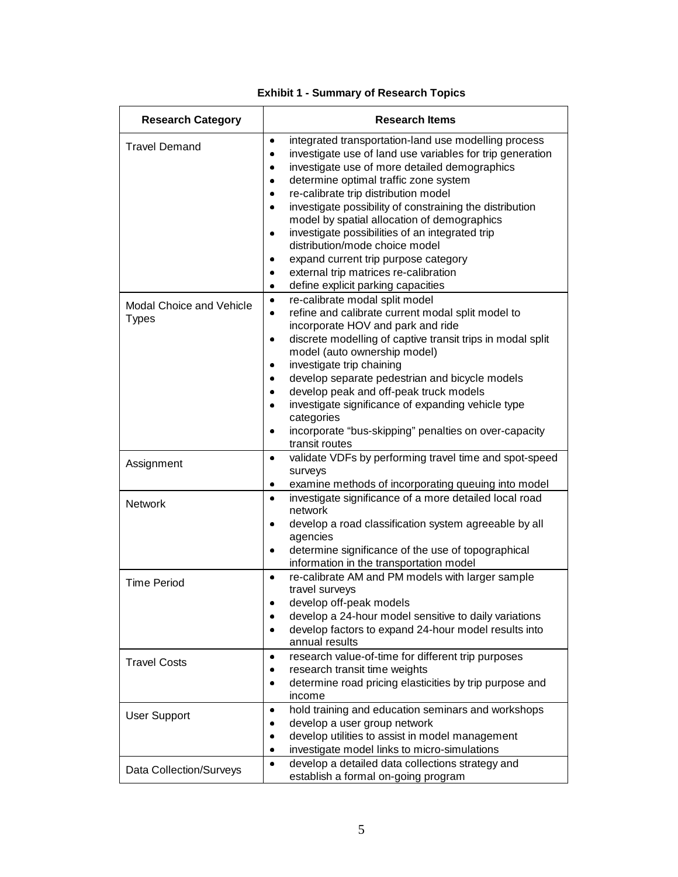| <b>Research Category</b>                        | <b>Research Items</b>                                                                                                                                                                                                                                                                                                                                                                                                                                                                                                                                                                                                                                                                                |
|-------------------------------------------------|------------------------------------------------------------------------------------------------------------------------------------------------------------------------------------------------------------------------------------------------------------------------------------------------------------------------------------------------------------------------------------------------------------------------------------------------------------------------------------------------------------------------------------------------------------------------------------------------------------------------------------------------------------------------------------------------------|
| <b>Travel Demand</b>                            | integrated transportation-land use modelling process<br>$\bullet$<br>investigate use of land use variables for trip generation<br>$\bullet$<br>investigate use of more detailed demographics<br>$\bullet$<br>determine optimal traffic zone system<br>$\bullet$<br>re-calibrate trip distribution model<br>$\bullet$<br>investigate possibility of constraining the distribution<br>$\bullet$<br>model by spatial allocation of demographics<br>investigate possibilities of an integrated trip<br>$\bullet$<br>distribution/mode choice model<br>expand current trip purpose category<br>$\bullet$<br>external trip matrices re-calibration<br>۰<br>define explicit parking capacities<br>$\bullet$ |
| <b>Modal Choice and Vehicle</b><br><b>Types</b> | re-calibrate modal split model<br>$\bullet$<br>refine and calibrate current modal split model to<br>$\bullet$<br>incorporate HOV and park and ride<br>discrete modelling of captive transit trips in modal split<br>$\bullet$<br>model (auto ownership model)<br>investigate trip chaining<br>$\bullet$<br>develop separate pedestrian and bicycle models<br>$\bullet$<br>develop peak and off-peak truck models<br>$\bullet$<br>investigate significance of expanding vehicle type<br>$\bullet$<br>categories<br>incorporate "bus-skipping" penalties on over-capacity<br>$\bullet$<br>transit routes                                                                                               |
| Assignment                                      | validate VDFs by performing travel time and spot-speed<br>$\bullet$<br>surveys<br>examine methods of incorporating queuing into model<br>۰                                                                                                                                                                                                                                                                                                                                                                                                                                                                                                                                                           |
| <b>Network</b>                                  | investigate significance of a more detailed local road<br>$\bullet$<br>network<br>develop a road classification system agreeable by all<br>$\bullet$<br>agencies<br>determine significance of the use of topographical<br>$\bullet$<br>information in the transportation model                                                                                                                                                                                                                                                                                                                                                                                                                       |
| <b>Time Period</b>                              | re-calibrate AM and PM models with larger sample<br>$\bullet$<br>travel surveys<br>develop off-peak models<br>develop a 24-hour model sensitive to daily variations<br>۰<br>develop factors to expand 24-hour model results into<br>$\bullet$<br>annual results                                                                                                                                                                                                                                                                                                                                                                                                                                      |
| <b>Travel Costs</b>                             | research value-of-time for different trip purposes<br>۰<br>research transit time weights<br>۰<br>determine road pricing elasticities by trip purpose and<br>$\bullet$<br>income                                                                                                                                                                                                                                                                                                                                                                                                                                                                                                                      |
| <b>User Support</b>                             | hold training and education seminars and workshops<br>$\bullet$<br>develop a user group network<br>٠<br>develop utilities to assist in model management<br>۰<br>investigate model links to micro-simulations<br>۰                                                                                                                                                                                                                                                                                                                                                                                                                                                                                    |
| Data Collection/Surveys                         | develop a detailed data collections strategy and<br>$\bullet$<br>establish a formal on-going program                                                                                                                                                                                                                                                                                                                                                                                                                                                                                                                                                                                                 |

# **Exhibit 1 - Summary of Research Topics**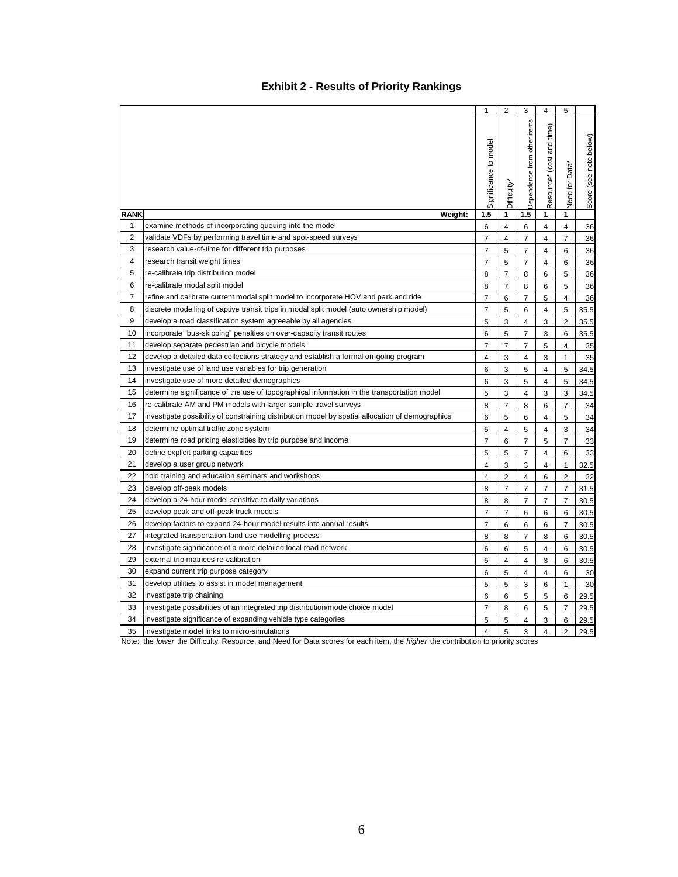# **Exhibit 2 - Results of Priority Rankings**

|                |                                                                                                  | 1                       | $\overline{2}$ | 3                           | 4                            | 5              |                        |
|----------------|--------------------------------------------------------------------------------------------------|-------------------------|----------------|-----------------------------|------------------------------|----------------|------------------------|
|                |                                                                                                  | Significance to model   | Difficulty*    | Dependence from other items | time)<br>Resource* (cost and | Need for Data* | Score (see note below) |
|                |                                                                                                  |                         |                |                             |                              |                |                        |
| <b>RANK</b>    | Weight:                                                                                          | 1.5                     | 1              | 1.5                         | 1                            | 1              |                        |
| 1              | examine methods of incorporating queuing into the model                                          | 6                       | $\overline{4}$ | 6                           | 4                            | 4              | 36                     |
| $\overline{2}$ | validate VDFs by performing travel time and spot-speed surveys                                   | 7                       | $\overline{4}$ | $\overline{7}$              | 4                            | $\overline{7}$ | 36                     |
| 3              | research value-of-time for different trip purposes                                               | $\overline{7}$          | 5              | $\overline{7}$              | $\overline{\mathbf{4}}$      | 6              | 36                     |
| 4              | research transit weight times                                                                    | $\overline{7}$          | 5              | $\overline{7}$              | $\overline{\mathbf{4}}$      | 6              | 36                     |
| 5              | re-calibrate trip distribution model                                                             | 8                       | $\overline{7}$ | 8                           | 6                            | 5              | 36                     |
| 6              | re-calibrate modal split model                                                                   | 8                       | $\overline{7}$ | 8                           | 6                            | 5              | 36                     |
| 7              | refine and calibrate current modal split model to incorporate HOV and park and ride              | $\overline{7}$          | 6              | $\overline{7}$              | 5                            | 4              | 36                     |
| 8              | discrete modelling of captive transit trips in modal split model (auto ownership model)          | 7                       | 5              | 6                           | 4                            | 5              | 35.5                   |
| 9              | develop a road classification system agreeable by all agencies                                   | 5                       | 3              | $\overline{4}$              | 3                            | $\overline{2}$ | 35.5                   |
| 10             | incorporate "bus-skipping" penalties on over-capacity transit routes                             | 6                       | 5              | $\overline{7}$              | 3                            | 6              | 35.5                   |
| 11             | develop separate pedestrian and bicycle models                                                   | $\overline{7}$          | $\overline{7}$ | $\overline{7}$              | 5                            | 4              | 35                     |
| 12             | develop a detailed data collections strategy and establish a formal on-going program             | 4                       | 3              | 4                           | 3                            | $\mathbf{1}$   | 35                     |
| 13             | investigate use of land use variables for trip generation                                        | 6                       | 3              | 5                           | 4                            | 5              | 34.5                   |
| 14             | investigate use of more detailed demographics                                                    | 6                       | 3              | 5                           | $\overline{4}$               | 5              | 34.5                   |
| 15             | determine significance of the use of topographical information in the transportation model       | 5                       | 3              | 4                           | 3                            | 3              | 34.5                   |
| 16             | re-calibrate AM and PM models with larger sample travel surveys                                  | 8                       | $\overline{7}$ | 8                           | 6                            | $\overline{7}$ | 34                     |
| 17             | investigate possibility of constraining distribution model by spatial allocation of demographics | 6                       | 5              | 6                           | $\overline{\mathbf{4}}$      | 5              | 34                     |
| 18             | determine optimal traffic zone system                                                            | 5                       | $\overline{4}$ | 5                           | $\overline{4}$               | 3              | 34                     |
| 19             | determine road pricing elasticities by trip purpose and income                                   | 7                       | 6              | 7                           | 5                            | $\overline{7}$ | 33                     |
| 20             | define explicit parking capacities                                                               | 5                       | 5              | $\overline{7}$              | 4                            | 6              | 33                     |
| 21             | develop a user group network                                                                     | 4                       | 3              | 3                           | $\overline{4}$               | $\mathbf{1}$   | 32.5                   |
| 22             | hold training and education seminars and workshops                                               | 4                       | $\overline{2}$ | $\overline{4}$              | 6                            | 2              | 32                     |
| 23             | develop off-peak models                                                                          | 8                       | $\overline{7}$ | $\overline{7}$              | $\overline{7}$               | $\overline{7}$ | 31.5                   |
| 24             | develop a 24-hour model sensitive to daily variations                                            | 8                       | 8              | $\overline{7}$              | $\overline{7}$               | $\overline{7}$ | 30.5                   |
| 25             | develop peak and off-peak truck models                                                           | $\overline{7}$          | $\overline{7}$ | 6                           | 6                            | 6              | 30.5                   |
| 26             | develop factors to expand 24-hour model results into annual results                              | $\overline{7}$          | 6              | 6                           | 6                            | $\overline{7}$ | 30.5                   |
| 27             | integrated transportation-land use modelling process                                             | 8                       | 8              | $\overline{7}$              | 8                            | 6              | 30.5                   |
| 28             | investigate significance of a more detailed local road network                                   | 6                       | 6              | 5                           | $\overline{4}$               | 6              | 30.5                   |
| 29             | external trip matrices re-calibration                                                            | 5                       | $\overline{4}$ | 4                           | 3                            | 6              | 30.5                   |
| 30             | expand current trip purpose category                                                             | 6                       | 5              | 4                           | 4                            | 6              | 30                     |
| 31             | develop utilities to assist in model management                                                  | 5                       | 5              | 3                           | 6                            | $\mathbf{1}$   | 30                     |
| 32             | investigate trip chaining                                                                        | 6                       | 6              | 5                           | 5                            | 6              | 29.5                   |
| 33             | investigate possibilities of an integrated trip distribution/mode choice model                   | $\overline{7}$          | 8              | 6                           | 5                            | $\overline{7}$ | 29.5                   |
| 34             | investigate significance of expanding vehicle type categories                                    | 5                       | 5              | 4                           | 3                            | 6              | 29.5                   |
| 35             | investigate model links to micro-simulations                                                     | $\overline{\mathbf{4}}$ | 5              | 3                           | $\overline{\mathbf{4}}$      | $\overline{2}$ | 29.5                   |

Note: the lower the Difficulty, Resource, and Need for Data scores for each item, the higher the contribution to priority scores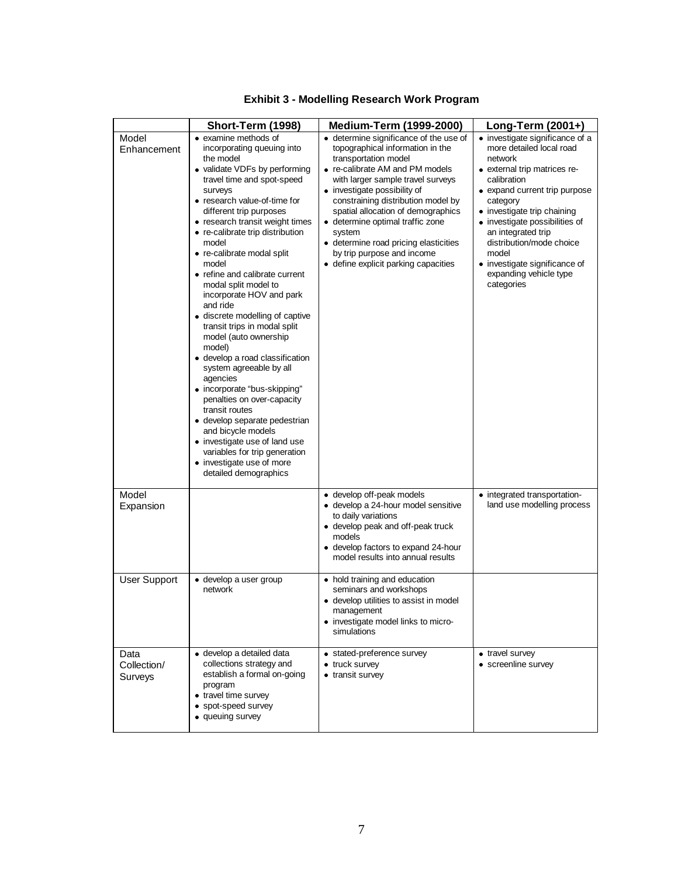|                                | Short-Term (1998)                                                                                                                                                                                                                                                                                                                                                                                                                                                                                                                                                                                                                                                                                                                                                                                                                                                            | <b>Medium-Term (1999-2000)</b>                                                                                                                                                                                                                                                                                                                                                                                                                      | Long-Term (2001+)                                                                                                                                                                                                                                                                                                                                                       |
|--------------------------------|------------------------------------------------------------------------------------------------------------------------------------------------------------------------------------------------------------------------------------------------------------------------------------------------------------------------------------------------------------------------------------------------------------------------------------------------------------------------------------------------------------------------------------------------------------------------------------------------------------------------------------------------------------------------------------------------------------------------------------------------------------------------------------------------------------------------------------------------------------------------------|-----------------------------------------------------------------------------------------------------------------------------------------------------------------------------------------------------------------------------------------------------------------------------------------------------------------------------------------------------------------------------------------------------------------------------------------------------|-------------------------------------------------------------------------------------------------------------------------------------------------------------------------------------------------------------------------------------------------------------------------------------------------------------------------------------------------------------------------|
| Model<br>Enhancement           | • examine methods of<br>incorporating queuing into<br>the model<br>• validate VDFs by performing<br>travel time and spot-speed<br>surveys<br>• research value-of-time for<br>different trip purposes<br>• research transit weight times<br>• re-calibrate trip distribution<br>model<br>• re-calibrate modal split<br>model<br>• refine and calibrate current<br>modal split model to<br>incorporate HOV and park<br>and ride<br>· discrete modelling of captive<br>transit trips in modal split<br>model (auto ownership<br>model)<br>· develop a road classification<br>system agreeable by all<br>agencies<br>• incorporate "bus-skipping"<br>penalties on over-capacity<br>transit routes<br>· develop separate pedestrian<br>and bicycle models<br>• investigate use of land use<br>variables for trip generation<br>• investigate use of more<br>detailed demographics | • determine significance of the use of<br>topographical information in the<br>transportation model<br>• re-calibrate AM and PM models<br>with larger sample travel surveys<br>• investigate possibility of<br>constraining distribution model by<br>spatial allocation of demographics<br>· determine optimal traffic zone<br>system<br>· determine road pricing elasticities<br>by trip purpose and income<br>· define explicit parking capacities | • investigate significance of a<br>more detailed local road<br>network<br>• external trip matrices re-<br>calibration<br>• expand current trip purpose<br>category<br>• investigate trip chaining<br>• investigate possibilities of<br>an integrated trip<br>distribution/mode choice<br>model<br>• investigate significance of<br>expanding vehicle type<br>categories |
| Model<br>Expansion             |                                                                                                                                                                                                                                                                                                                                                                                                                                                                                                                                                                                                                                                                                                                                                                                                                                                                              | · develop off-peak models<br>· develop a 24-hour model sensitive<br>to daily variations<br>• develop peak and off-peak truck<br>models<br>· develop factors to expand 24-hour<br>model results into annual results                                                                                                                                                                                                                                  | • integrated transportation-<br>land use modelling process                                                                                                                                                                                                                                                                                                              |
| <b>User Support</b>            | • develop a user group<br>network                                                                                                                                                                                                                                                                                                                                                                                                                                                                                                                                                                                                                                                                                                                                                                                                                                            | • hold training and education<br>seminars and workshops<br>· develop utilities to assist in model<br>management<br>• investigate model links to micro-<br>simulations                                                                                                                                                                                                                                                                               |                                                                                                                                                                                                                                                                                                                                                                         |
| Data<br>Collection/<br>Surveys | · develop a detailed data<br>collections strategy and<br>establish a formal on-going<br>program<br>• travel time survey<br>• spot-speed survey<br>• queuing survey                                                                                                                                                                                                                                                                                                                                                                                                                                                                                                                                                                                                                                                                                                           | • stated-preference survey<br>• truck survey<br>• transit survey                                                                                                                                                                                                                                                                                                                                                                                    | • travel survey<br>• screenline survey                                                                                                                                                                                                                                                                                                                                  |

# **Exhibit 3 - Modelling Research Work Program**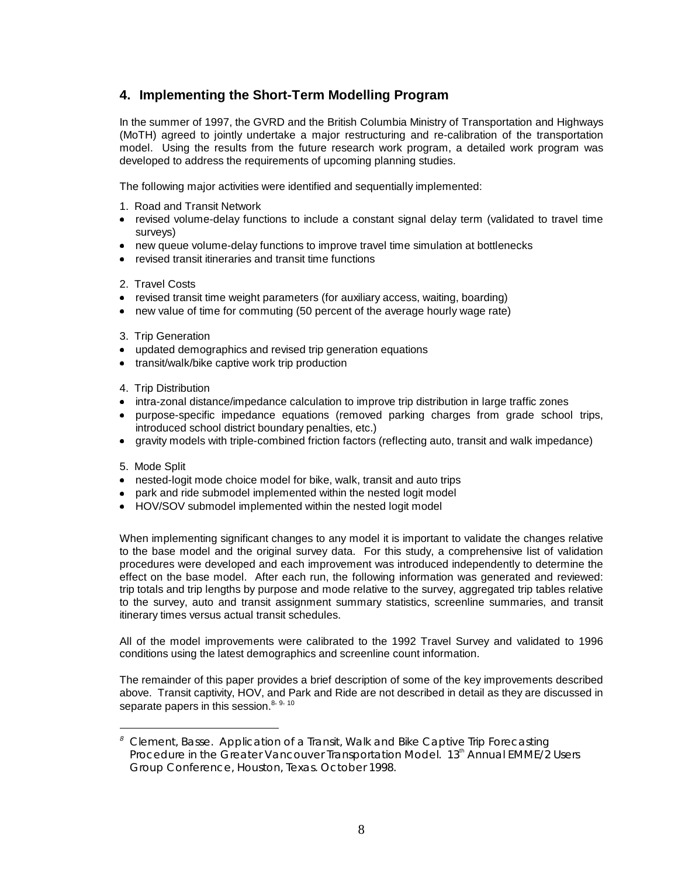# **4. Implementing the Short-Term Modelling Program**

In the summer of 1997, the GVRD and the British Columbia Ministry of Transportation and Highways (MoTH) agreed to jointly undertake a major restructuring and re-calibration of the transportation model. Using the results from the future research work program, a detailed work program was developed to address the requirements of upcoming planning studies.

The following major activities were identified and sequentially implemented:

- 1. Road and Transit Network
- · revised volume-delay functions to include a constant signal delay term (validated to travel time surveys)
- · new queue volume-delay functions to improve travel time simulation at bottlenecks
- · revised transit itineraries and transit time functions
- 2. Travel Costs
- · revised transit time weight parameters (for auxiliary access, waiting, boarding)
- · new value of time for commuting (50 percent of the average hourly wage rate)
- 3. Trip Generation
- · updated demographics and revised trip generation equations
- transit/walk/bike captive work trip production
- 4. Trip Distribution
- · intra-zonal distance/impedance calculation to improve trip distribution in large traffic zones
- · purpose-specific impedance equations (removed parking charges from grade school trips, introduced school district boundary penalties, etc.)
- · gravity models with triple-combined friction factors (reflecting auto, transit and walk impedance)
- 5. Mode Split

 $\overline{a}$ 

- · nested-logit mode choice model for bike, walk, transit and auto trips
- · park and ride submodel implemented within the nested logit model
- · HOV/SOV submodel implemented within the nested logit model

When implementing significant changes to any model it is important to validate the changes relative to the base model and the original survey data. For this study, a comprehensive list of validation procedures were developed and each improvement was introduced independently to determine the effect on the base model. After each run, the following information was generated and reviewed: trip totals and trip lengths by purpose and mode relative to the survey, aggregated trip tables relative to the survey, auto and transit assignment summary statistics, screenline summaries, and transit itinerary times versus actual transit schedules.

All of the model improvements were calibrated to the 1992 Travel Survey and validated to 1996 conditions using the latest demographics and screenline count information.

The remainder of this paper provides a brief description of some of the key improvements described above. Transit captivity, HOV, and Park and Ride are not described in detail as they are discussed in separate papers in this session.<sup>8, 9, 10</sup>

<sup>8</sup> *Clement, Basse. Application of a Transit, Walk and Bike Captive Trip Forecasting Procedure in the Greater Vancouver Transportation Model. 13<sup>th</sup> Annual EMME/2 Users Group Conference, Houston, Texas. October 1998.*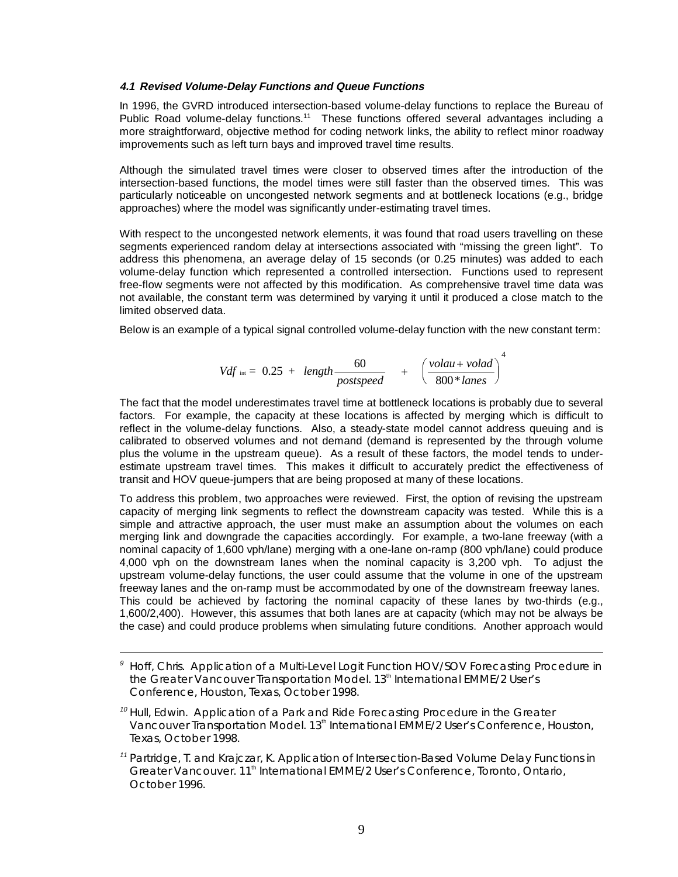#### **4.1 Revised Volume-Delay Functions and Queue Functions**

In 1996, the GVRD introduced intersection-based volume-delay functions to replace the Bureau of Public Road volume-delay functions.<sup>11</sup> These functions offered several advantages including a more straightforward, objective method for coding network links, the ability to reflect minor roadway improvements such as left turn bays and improved travel time results.

Although the simulated travel times were closer to observed times after the introduction of the intersection-based functions, the model times were still faster than the observed times. This was particularly noticeable on uncongested network segments and at bottleneck locations (e.g., bridge approaches) where the model was significantly under-estimating travel times.

With respect to the uncongested network elements, it was found that road users travelling on these segments experienced random delay at intersections associated with "missing the green light". To address this phenomena, an average delay of 15 seconds (or 0.25 minutes) was added to each volume-delay function which represented a controlled intersection. Functions used to represent free-flow segments were not affected by this modification. As comprehensive travel time data was not available, the constant term was determined by varying it until it produced a close match to the limited observed data.

Below is an example of a typical signal controlled volume-delay function with the new constant term:

$$
Vdf_{int} = 0.25 + length \frac{60}{postspeed} + \left(\frac{volau + volad}{800 * lanes}\right)^4
$$

The fact that the model underestimates travel time at bottleneck locations is probably due to several factors. For example, the capacity at these locations is affected by merging which is difficult to reflect in the volume-delay functions. Also, a steady-state model cannot address queuing and is calibrated to observed volumes and not demand (demand is represented by the through volume plus the volume in the upstream queue). As a result of these factors, the model tends to underestimate upstream travel times. This makes it difficult to accurately predict the effectiveness of transit and HOV queue-jumpers that are being proposed at many of these locations.

To address this problem, two approaches were reviewed. First, the option of revising the upstream capacity of merging link segments to reflect the downstream capacity was tested. While this is a simple and attractive approach, the user must make an assumption about the volumes on each merging link and downgrade the capacities accordingly. For example, a two-lane freeway (with a nominal capacity of 1,600 vph/lane) merging with a one-lane on-ramp (800 vph/lane) could produce 4,000 vph on the downstream lanes when the nominal capacity is 3,200 vph. To adjust the upstream volume-delay functions, the user could assume that the volume in one of the upstream freeway lanes and the on-ramp must be accommodated by one of the downstream freeway lanes. This could be achieved by factoring the nominal capacity of these lanes by two-thirds (e.g., 1,600/2,400). However, this assumes that both lanes are at capacity (which may not be always be the case) and could produce problems when simulating future conditions. Another approach would

 $\overline{a}$ 

<sup>9</sup> *Hoff, Chris. Application of a Multi-Level Logit Function HOV/SOV Forecasting Procedure in the Greater Vancouver Transportation Model. 13th International EMME/2 User's Conference, Houston, Texas, October 1998.*

<sup>10</sup> *Hull, Edwin. Application of a Park and Ride Forecasting Procedure in the Greater Vancouver Transportation Model. 13th International EMME/2 User's Conference, Houston, Texas, October 1998.*

<sup>11</sup> *Partridge, T. and Krajczar, K. Application of Intersection-Based Volume Delay Functions in Greater Vancouver. 11th International EMME/2 User's Conference, Toronto, Ontario, October 1996.*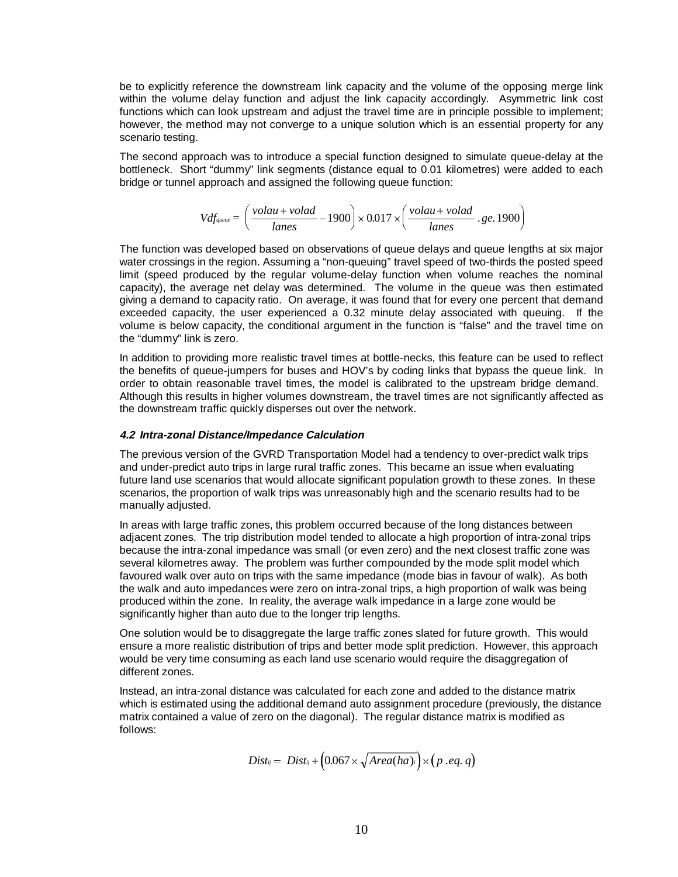be to explicitly reference the downstream link capacity and the volume of the opposing merge link within the volume delay function and adjust the link capacity accordingly. Asymmetric link cost functions which can look upstream and adjust the travel time are in principle possible to implement; however, the method may not converge to a unique solution which is an essential property for any scenario testing.

The second approach was to introduce a special function designed to simulate queue-delay at the bottleneck. Short "dummy" link segments (distance equal to 0.01 kilometres) were added to each bridge or tunnel approach and assigned the following queue function:

$$
Vdf_{\text{queue}} = \left(\frac{volau + volad}{lanes} - 1900\right) \times 0.017 \times \left(\frac{volau + volad}{lanes} \cdot ge. 1900\right)
$$

The function was developed based on observations of queue delays and queue lengths at six major water crossings in the region. Assuming a "non-queuing" travel speed of two-thirds the posted speed limit (speed produced by the regular volume-delay function when volume reaches the nominal capacity), the average net delay was determined. The volume in the queue was then estimated giving a demand to capacity ratio. On average, it was found that for every one percent that demand exceeded capacity, the user experienced a 0.32 minute delay associated with queuing. If the volume is below capacity, the conditional argument in the function is "false" and the travel time on the "dummy" link is zero.

In addition to providing more realistic travel times at bottle-necks, this feature can be used to reflect the benefits of queue-jumpers for buses and HOV's by coding links that bypass the queue link. In order to obtain reasonable travel times, the model is calibrated to the upstream bridge demand. Although this results in higher volumes downstream, the travel times are not significantly affected as the downstream traffic quickly disperses out over the network.

#### **4.2 Intra-zonal Distance/Impedance Calculation**

The previous version of the GVRD Transportation Model had a tendency to over-predict walk trips and under-predict auto trips in large rural traffic zones. This became an issue when evaluating future land use scenarios that would allocate significant population growth to these zones. In these scenarios, the proportion of walk trips was unreasonably high and the scenario results had to be manually adjusted.

In areas with large traffic zones, this problem occurred because of the long distances between adjacent zones. The trip distribution model tended to allocate a high proportion of intra-zonal trips because the intra-zonal impedance was small (or even zero) and the next closest traffic zone was several kilometres away. The problem was further compounded by the mode split model which favoured walk over auto on trips with the same impedance (mode bias in favour of walk). As both the walk and auto impedances were zero on intra-zonal trips, a high proportion of walk was being produced within the zone. In reality, the average walk impedance in a large zone would be significantly higher than auto due to the longer trip lengths.

One solution would be to disaggregate the large traffic zones slated for future growth. This would ensure a more realistic distribution of trips and better mode split prediction. However, this approach would be very time consuming as each land use scenario would require the disaggregation of different zones.

Instead, an intra-zonal distance was calculated for each zone and added to the distance matrix which is estimated using the additional demand auto assignment procedure (previously, the distance matrix contained a value of zero on the diagonal). The regular distance matrix is modified as follows:

$$
Dist_{ij} = Dist_{ij} + (0.067 \times \sqrt{Area(ha)_i}) \times (p . eq. q)
$$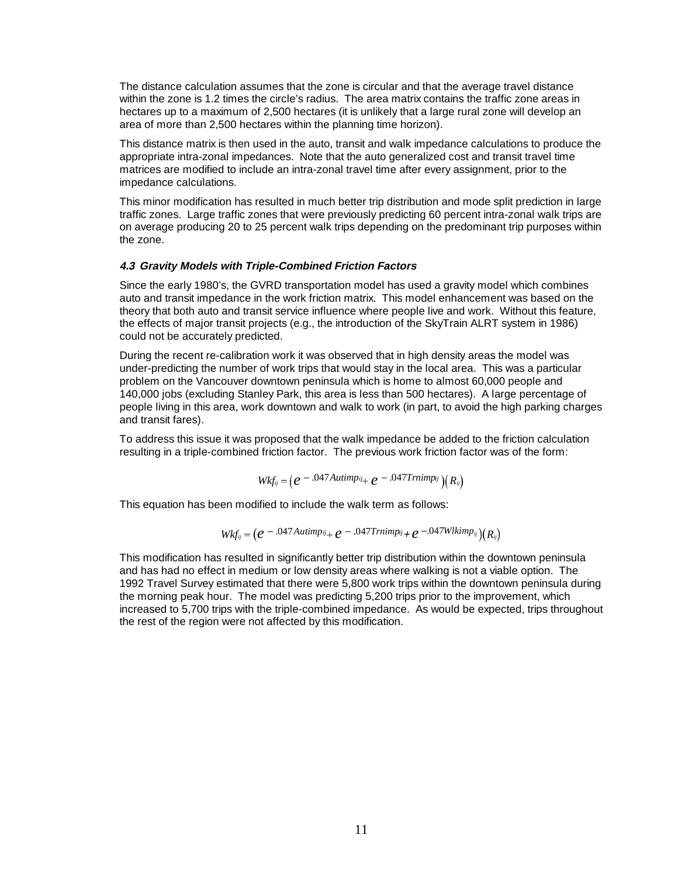The distance calculation assumes that the zone is circular and that the average travel distance within the zone is 1.2 times the circle's radius. The area matrix contains the traffic zone areas in hectares up to a maximum of 2,500 hectares (it is unlikely that a large rural zone will develop an area of more than 2,500 hectares within the planning time horizon).

This distance matrix is then used in the auto, transit and walk impedance calculations to produce the appropriate intra-zonal impedances. Note that the auto generalized cost and transit travel time matrices are modified to include an intra-zonal travel time after every assignment, prior to the impedance calculations.

This minor modification has resulted in much better trip distribution and mode split prediction in large traffic zones. Large traffic zones that were previously predicting 60 percent intra-zonal walk trips are on average producing 20 to 25 percent walk trips depending on the predominant trip purposes within the zone.

#### **4.3 Gravity Models with Triple-Combined Friction Factors**

Since the early 1980's, the GVRD transportation model has used a gravity model which combines auto and transit impedance in the work friction matrix. This model enhancement was based on the theory that both auto and transit service influence where people live and work. Without this feature, the effects of major transit projects (e.g., the introduction of the SkyTrain ALRT system in 1986) could not be accurately predicted.

During the recent re-calibration work it was observed that in high density areas the model was under-predicting the number of work trips that would stay in the local area. This was a particular problem on the Vancouver downtown peninsula which is home to almost 60,000 people and 140,000 jobs (excluding Stanley Park, this area is less than 500 hectares). A large percentage of people living in this area, work downtown and walk to work (in part, to avoid the high parking charges and transit fares).

To address this issue it was proposed that the walk impedance be added to the friction calculation resulting in a triple-combined friction factor. The previous work friction factor was of the form: *i* roposed that the walk impedance be adde <br>*i* friction factor. The previous work friction f<br> $Wkf_{ij} = (e - .047Autimp_{ij} + e - .047Trimp_{ij})(R_{ij})$ 

$$
Wkf_{ii} = (e^{\ -0.047\text{Autimp}_{ij}+e^{\ -0.047\text{Trnim}p_{ij}}})(R_{ii})
$$

This equation has been modified to include the walk term as follows:

\n
$$
W_{kjij} = \left( e^{-\frac{S}{kT} \cdot \frac{S}{kT}} \right) \left( \frac{R_{ij}}{R_{ij}} \right)
$$
\n

\n\n (en modified to include the walk term as follows: \n  $W_{kj} = \left( e^{-\frac{S}{kT} \cdot \frac{S}{kT}} \right) \left( \frac{R_{ij}}{R_{ij}} \right)$ \n

This modification has resulted in significantly better trip distribution within the downtown peninsula and has had no effect in medium or low density areas where walking is not a viable option. The 1992 Travel Survey estimated that there were 5,800 work trips within the downtown peninsula during the morning peak hour. The model was predicting 5,200 trips prior to the improvement, which increased to 5,700 trips with the triple-combined impedance. As would be expected, trips throughout the rest of the region were not affected by this modification.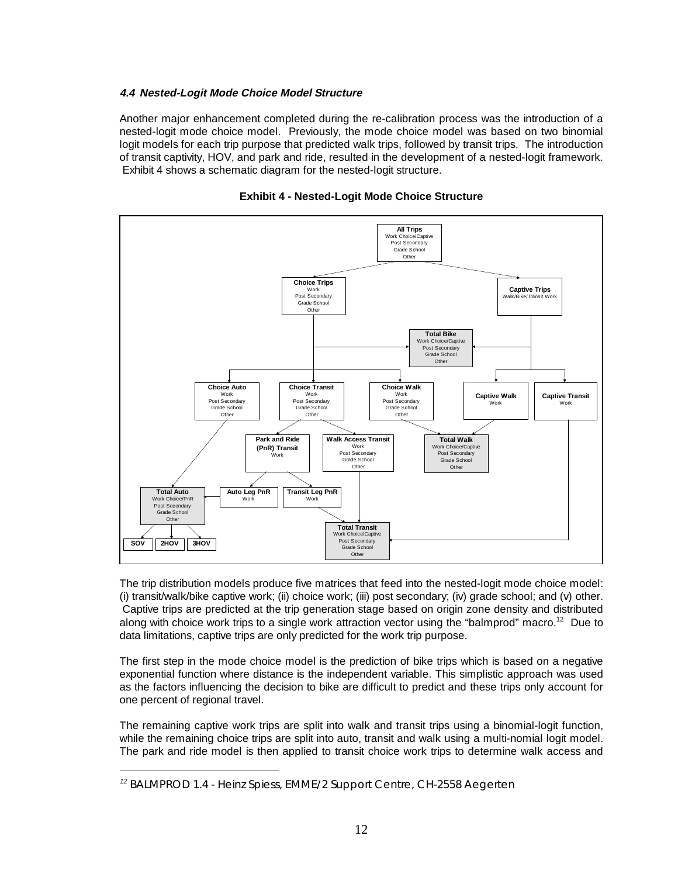#### **4.4 Nested-Logit Mode Choice Model Structure**

Another major enhancement completed during the re-calibration process was the introduction of a nested-logit mode choice model. Previously, the mode choice model was based on two binomial logit models for each trip purpose that predicted walk trips, followed by transit trips. The introduction of transit captivity, HOV, and park and ride, resulted in the development of a nested-logit framework. Exhibit 4 shows a schematic diagram for the nested-logit structure.



#### **Exhibit 4 - Nested-Logit Mode Choice Structure**

The trip distribution models produce five matrices that feed into the nested-logit mode choice model: (i) transit/walk/bike captive work; (ii) choice work; (iii) post secondary; (iv) grade school; and (v) other. Captive trips are predicted at the trip generation stage based on origin zone density and distributed along with choice work trips to a single work attraction vector using the "balmprod" macro.<sup>12</sup> Due to data limitations, captive trips are only predicted for the work trip purpose.

The first step in the mode choice model is the prediction of bike trips which is based on a negative exponential function where distance is the independent variable. This simplistic approach was used as the factors influencing the decision to bike are difficult to predict and these trips only account for one percent of regional travel.

The remaining captive work trips are split into walk and transit trips using a binomial-logit function, while the remaining choice trips are split into auto, transit and walk using a multi-nomial logit model. The park and ride model is then applied to transit choice work trips to determine walk access and

 $\overline{a}$ 

<sup>12</sup> *BALMPROD 1.4 - Heinz Spiess, EMME/2 Support Centre, CH-2558 Aegerten*